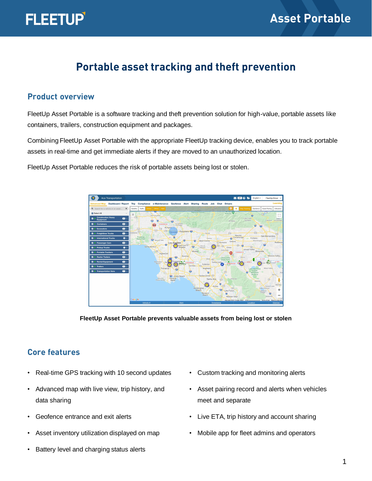# **Portable asset tracking and theft prevention**

#### **Product overview**

FleetUp Asset Portable is a software tracking and theft prevention solution for high-value, portable assets like containers, trailers, construction equipment and packages.

Combining FleetUp Asset Portable with the appropriate FleetUp tracking device, enables you to track portable assets in real-time and get immediate alerts if they are moved to an unauthorized location.

FleetUp Asset Portable reduces the risk of portable assets being lost or stolen.



**FleetUp Asset Portable prevents valuable assets from being lost or stolen**

## **Core features**

- Real-time GPS tracking with 10 second updates
- Advanced map with live view, trip history, and data sharing
- Geofence entrance and exit alerts
- Asset inventory utilization displayed on map
- Battery level and charging status alerts
- Custom tracking and monitoring alerts
- Asset pairing record and alerts when vehicles meet and separate
- Live ETA, trip history and account sharing
- Mobile app for fleet admins and operators